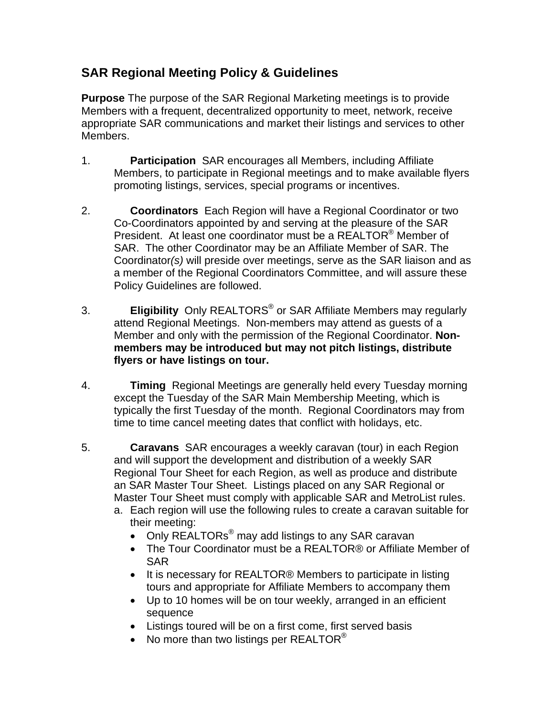## **SAR Regional Meeting Policy & Guidelines**

**Purpose** The purpose of the SAR Regional Marketing meetings is to provide Members with a frequent, decentralized opportunity to meet, network, receive appropriate SAR communications and market their listings and services to other Members.

- 1. **Participation** SAR encourages all Members, including Affiliate Members, to participate in Regional meetings and to make available flyers promoting listings, services, special programs or incentives.
- 2. **Coordinators** Each Region will have a Regional Coordinator or two Co-Coordinators appointed by and serving at the pleasure of the SAR President. At least one coordinator must be a REALTOR<sup>®</sup> Member of SAR. The other Coordinator may be an Affiliate Member of SAR. The Coordinator(s) will preside over meetings, serve as the SAR liaison and as a member of the Regional Coordinators Committee, and will assure these Policy Guidelines are followed.
- 3. **Eligibility** Only REALTORS® or SAR Affiliate Members may regularly attend Regional Meetings. Non-members may attend as guests of a Member and only with the permission of the Regional Coordinator. **Nonmembers may be introduced but may not pitch listings, distribute flyers or have listings on tour.**
- 4. **Timing** Regional Meetings are generally held every Tuesday morning except the Tuesday of the SAR Main Membership Meeting, which is typically the first Tuesday of the month. Regional Coordinators may from time to time cancel meeting dates that conflict with holidays, etc.
- 5. **Caravans** SAR encourages a weekly caravan (tour) in each Region and will support the development and distribution of a weekly SAR Regional Tour Sheet for each Region, as well as produce and distribute an SAR Master Tour Sheet. Listings placed on any SAR Regional or Master Tour Sheet must comply with applicable SAR and MetroList rules.
	- a. Each region will use the following rules to create a caravan suitable for their meeting:
		- Only REALTORs<sup>®</sup> may add listings to any SAR caravan
		- The Tour Coordinator must be a REALTOR® or Affiliate Member of SAR
		- It is necessary for REALTOR<sup>®</sup> Members to participate in listing tours and appropriate for Affiliate Members to accompany them
		- Up to 10 homes will be on tour weekly, arranged in an efficient sequence
		- Listings toured will be on a first come, first served basis
		- No more than two listings per REALTOR<sup>®</sup>